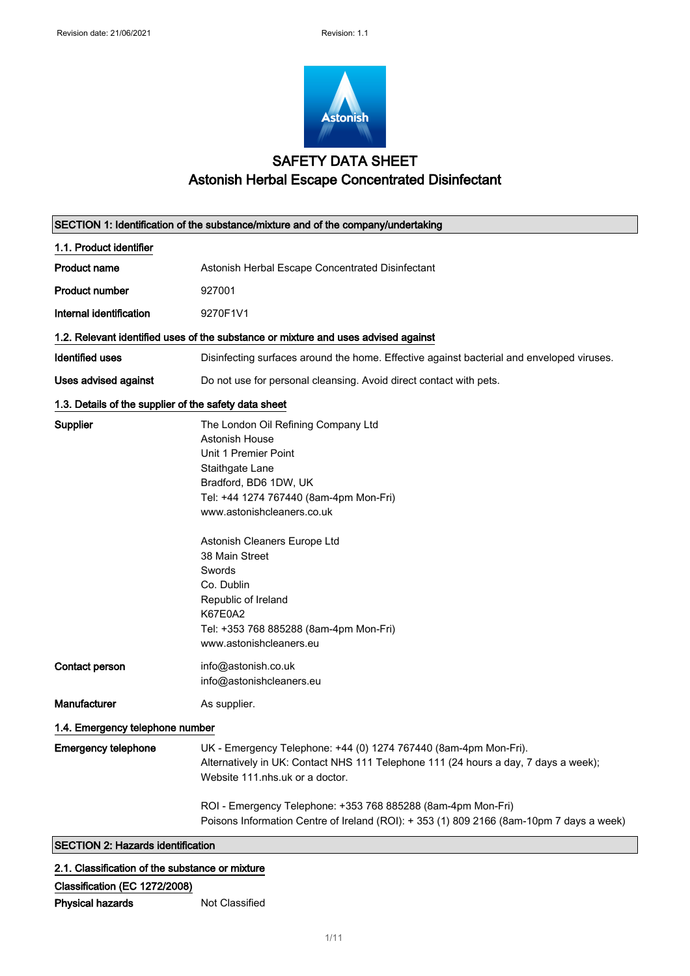

## SAFETY DATA SHEET Astonish Herbal Escape Concentrated Disinfectant

| SECTION 1: Identification of the substance/mixture and of the company/undertaking |                                                                                                                                                                                                                                                                                                                                                                |  |
|-----------------------------------------------------------------------------------|----------------------------------------------------------------------------------------------------------------------------------------------------------------------------------------------------------------------------------------------------------------------------------------------------------------------------------------------------------------|--|
| 1.1. Product identifier                                                           |                                                                                                                                                                                                                                                                                                                                                                |  |
| <b>Product name</b>                                                               | Astonish Herbal Escape Concentrated Disinfectant                                                                                                                                                                                                                                                                                                               |  |
| <b>Product number</b>                                                             | 927001                                                                                                                                                                                                                                                                                                                                                         |  |
| Internal identification                                                           | 9270F1V1                                                                                                                                                                                                                                                                                                                                                       |  |
|                                                                                   | 1.2. Relevant identified uses of the substance or mixture and uses advised against                                                                                                                                                                                                                                                                             |  |
| <b>Identified uses</b>                                                            | Disinfecting surfaces around the home. Effective against bacterial and enveloped viruses.                                                                                                                                                                                                                                                                      |  |
| <b>Uses advised against</b>                                                       | Do not use for personal cleansing. Avoid direct contact with pets.                                                                                                                                                                                                                                                                                             |  |
| 1.3. Details of the supplier of the safety data sheet                             |                                                                                                                                                                                                                                                                                                                                                                |  |
| Supplier                                                                          | The London Oil Refining Company Ltd<br>Astonish House<br>Unit 1 Premier Point<br>Staithgate Lane<br>Bradford, BD6 1DW, UK<br>Tel: +44 1274 767440 (8am-4pm Mon-Fri)<br>www.astonishcleaners.co.uk<br>Astonish Cleaners Europe Ltd<br>38 Main Street<br>Swords<br>Co. Dublin<br>Republic of Ireland<br><b>K67E0A2</b><br>Tel: +353 768 885288 (8am-4pm Mon-Fri) |  |
| Contact person                                                                    | www.astonishcleaners.eu<br>info@astonish.co.uk<br>info@astonishcleaners.eu                                                                                                                                                                                                                                                                                     |  |
| Manufacturer                                                                      | As supplier.                                                                                                                                                                                                                                                                                                                                                   |  |
| 1.4. Emergency telephone number                                                   |                                                                                                                                                                                                                                                                                                                                                                |  |
| <b>Emergency telephone</b>                                                        | UK - Emergency Telephone: +44 (0) 1274 767440 (8am-4pm Mon-Fri).<br>Alternatively in UK: Contact NHS 111 Telephone 111 (24 hours a day, 7 days a week);<br>Website 111.nhs.uk or a doctor.                                                                                                                                                                     |  |
|                                                                                   | ROI - Emergency Telephone: +353 768 885288 (8am-4pm Mon-Fri)<br>Poisons Information Centre of Ireland (ROI): +353 (1) 809 2166 (8am-10pm 7 days a week)                                                                                                                                                                                                        |  |
| <b>SECTION 2: Hazards identification</b>                                          |                                                                                                                                                                                                                                                                                                                                                                |  |

### 2.1. Classification of the substance or mixture

### Classification (EC 1272/2008)

Not Classified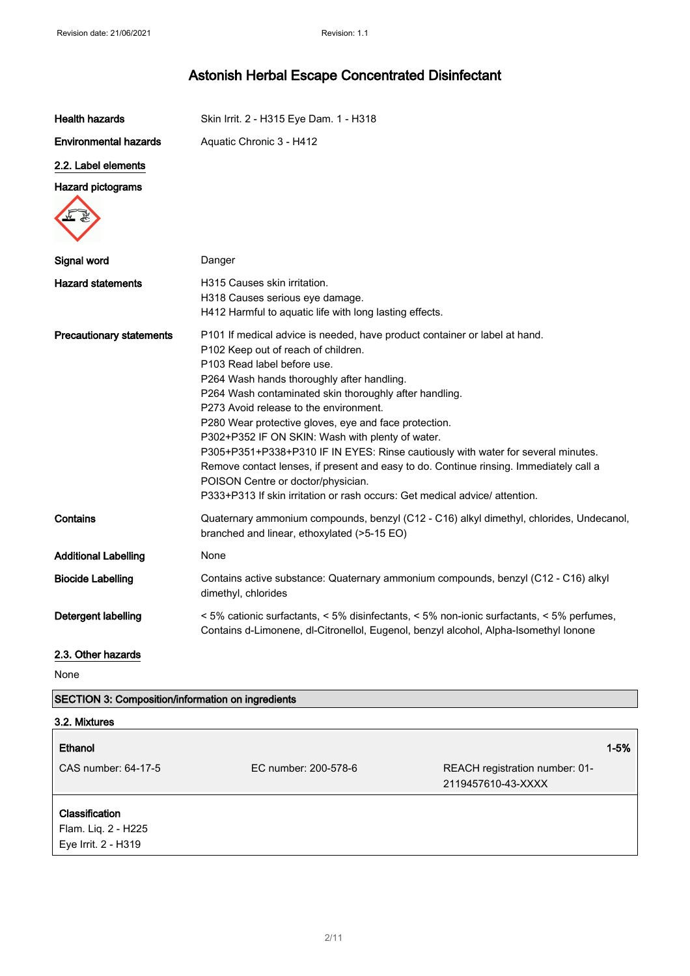| <b>Health hazards</b>                             | Skin Irrit. 2 - H315 Eye Dam. 1 - H318                                                                                                                                                                                                                                                                                                                                                                                                                                                                                                                                                                                                                                                                             |
|---------------------------------------------------|--------------------------------------------------------------------------------------------------------------------------------------------------------------------------------------------------------------------------------------------------------------------------------------------------------------------------------------------------------------------------------------------------------------------------------------------------------------------------------------------------------------------------------------------------------------------------------------------------------------------------------------------------------------------------------------------------------------------|
| <b>Environmental hazards</b>                      | Aquatic Chronic 3 - H412                                                                                                                                                                                                                                                                                                                                                                                                                                                                                                                                                                                                                                                                                           |
| 2.2. Label elements                               |                                                                                                                                                                                                                                                                                                                                                                                                                                                                                                                                                                                                                                                                                                                    |
| <b>Hazard pictograms</b>                          |                                                                                                                                                                                                                                                                                                                                                                                                                                                                                                                                                                                                                                                                                                                    |
| Signal word                                       | Danger                                                                                                                                                                                                                                                                                                                                                                                                                                                                                                                                                                                                                                                                                                             |
| <b>Hazard statements</b>                          | H315 Causes skin irritation.<br>H318 Causes serious eye damage.<br>H412 Harmful to aquatic life with long lasting effects.                                                                                                                                                                                                                                                                                                                                                                                                                                                                                                                                                                                         |
| <b>Precautionary statements</b>                   | P101 If medical advice is needed, have product container or label at hand.<br>P102 Keep out of reach of children.<br>P103 Read label before use.<br>P264 Wash hands thoroughly after handling.<br>P264 Wash contaminated skin thoroughly after handling.<br>P273 Avoid release to the environment.<br>P280 Wear protective gloves, eye and face protection.<br>P302+P352 IF ON SKIN: Wash with plenty of water.<br>P305+P351+P338+P310 IF IN EYES: Rinse cautiously with water for several minutes.<br>Remove contact lenses, if present and easy to do. Continue rinsing. Immediately call a<br>POISON Centre or doctor/physician.<br>P333+P313 If skin irritation or rash occurs: Get medical advice/ attention. |
| Contains                                          | Quaternary ammonium compounds, benzyl (C12 - C16) alkyl dimethyl, chlorides, Undecanol,<br>branched and linear, ethoxylated (>5-15 EO)                                                                                                                                                                                                                                                                                                                                                                                                                                                                                                                                                                             |
| <b>Additional Labelling</b>                       | None                                                                                                                                                                                                                                                                                                                                                                                                                                                                                                                                                                                                                                                                                                               |
| <b>Biocide Labelling</b>                          | Contains active substance: Quaternary ammonium compounds, benzyl (C12 - C16) alkyl<br>dimethyl, chlorides                                                                                                                                                                                                                                                                                                                                                                                                                                                                                                                                                                                                          |
| Detergent labelling                               | < 5% cationic surfactants, < 5% disinfectants, < 5% non-ionic surfactants, < 5% perfumes,<br>Contains d-Limonene, dl-Citronellol, Eugenol, benzyl alcohol, Alpha-Isomethyl Jonone                                                                                                                                                                                                                                                                                                                                                                                                                                                                                                                                  |
| 2.3. Other hazards                                |                                                                                                                                                                                                                                                                                                                                                                                                                                                                                                                                                                                                                                                                                                                    |
| None                                              |                                                                                                                                                                                                                                                                                                                                                                                                                                                                                                                                                                                                                                                                                                                    |
| SECTION 3: Composition/information on ingredients |                                                                                                                                                                                                                                                                                                                                                                                                                                                                                                                                                                                                                                                                                                                    |
| 3.2. Mixtures                                     |                                                                                                                                                                                                                                                                                                                                                                                                                                                                                                                                                                                                                                                                                                                    |

### Ethanol 1-5%

CAS number: 64-17-5 EC number: 200-578-6 REACH registration number: 01- 2119457610-43-XXXX

### **Classification**

Flam. Liq. 2 - H225 Eye Irrit. 2 - H319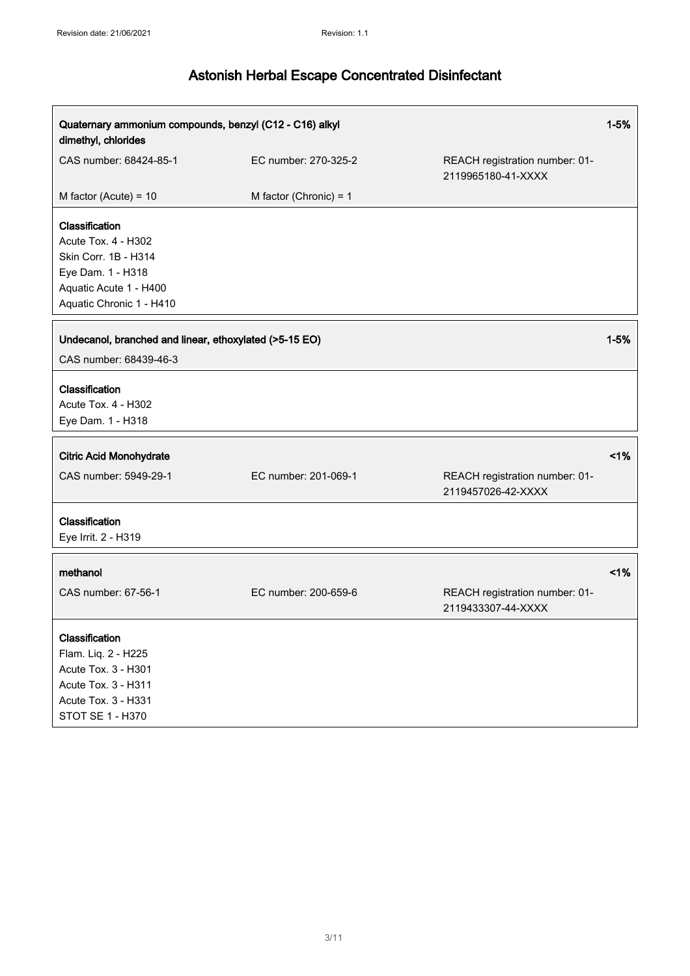| Quaternary ammonium compounds, benzyl (C12 - C16) alkyl<br>dimethyl, chlorides                                                           |                          |                                                      | $1 - 5%$ |
|------------------------------------------------------------------------------------------------------------------------------------------|--------------------------|------------------------------------------------------|----------|
| CAS number: 68424-85-1                                                                                                                   | EC number: 270-325-2     | REACH registration number: 01-<br>2119965180-41-XXXX |          |
| M factor (Acute) = $10$                                                                                                                  | M factor (Chronic) = $1$ |                                                      |          |
| Classification<br>Acute Tox. 4 - H302<br>Skin Corr. 1B - H314<br>Eye Dam. 1 - H318<br>Aquatic Acute 1 - H400<br>Aquatic Chronic 1 - H410 |                          |                                                      |          |
| Undecanol, branched and linear, ethoxylated (>5-15 EO)                                                                                   |                          |                                                      | $1 - 5%$ |
| CAS number: 68439-46-3                                                                                                                   |                          |                                                      |          |
| Classification<br>Acute Tox. 4 - H302<br>Eye Dam. 1 - H318                                                                               |                          |                                                      |          |
| <b>Citric Acid Monohydrate</b>                                                                                                           |                          |                                                      | 1%       |
| CAS number: 5949-29-1                                                                                                                    | EC number: 201-069-1     | REACH registration number: 01-<br>2119457026-42-XXXX |          |
| Classification<br>Eye Irrit. 2 - H319                                                                                                    |                          |                                                      |          |
| methanol                                                                                                                                 |                          |                                                      | 1%       |
| CAS number: 67-56-1                                                                                                                      | EC number: 200-659-6     | REACH registration number: 01-<br>2119433307-44-XXXX |          |
| Classification<br>Flam. Liq. 2 - H225<br>Acute Tox. 3 - H301<br>Acute Tox. 3 - H311<br>Acute Tox. 3 - H331<br>STOT SE 1 - H370           |                          |                                                      |          |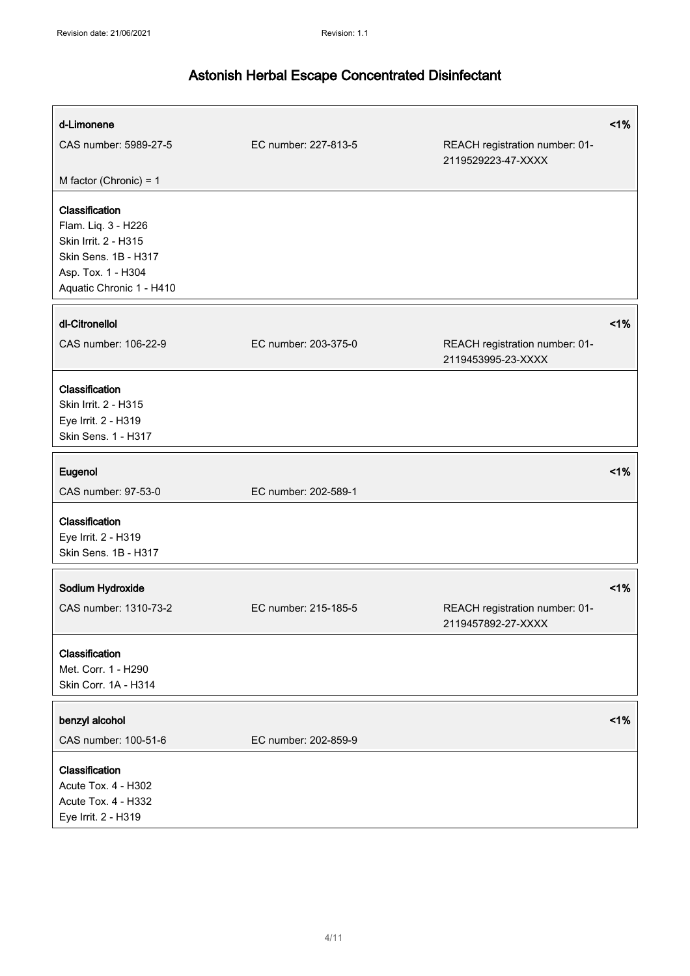| d-Limonene<br>CAS number: 5989-27-5                                                                                                     | EC number: 227-813-5 | REACH registration number: 01-<br>2119529223-47-XXXX | $~1\%$ |
|-----------------------------------------------------------------------------------------------------------------------------------------|----------------------|------------------------------------------------------|--------|
| M factor (Chronic) = $1$                                                                                                                |                      |                                                      |        |
| Classification<br>Flam. Liq. 3 - H226<br>Skin Irrit. 2 - H315<br>Skin Sens. 1B - H317<br>Asp. Tox. 1 - H304<br>Aquatic Chronic 1 - H410 |                      |                                                      |        |
| dl-Citronellol                                                                                                                          |                      |                                                      | 1%     |
| CAS number: 106-22-9                                                                                                                    | EC number: 203-375-0 | REACH registration number: 01-<br>2119453995-23-XXXX |        |
| Classification<br>Skin Irrit. 2 - H315<br>Eye Irrit. 2 - H319<br>Skin Sens. 1 - H317                                                    |                      |                                                      |        |
| Eugenol                                                                                                                                 |                      |                                                      | 1%     |
| CAS number: 97-53-0                                                                                                                     | EC number: 202-589-1 |                                                      |        |
| Classification<br>Eye Irrit. 2 - H319<br>Skin Sens. 1B - H317                                                                           |                      |                                                      |        |
| Sodium Hydroxide                                                                                                                        |                      |                                                      | 1%     |
| CAS number: 1310-73-2                                                                                                                   | EC number: 215-185-5 | REACH registration number: 01-<br>2119457892-27-XXXX |        |
| Classification<br>Met. Corr. 1 - H290<br>Skin Corr. 1A - H314                                                                           |                      |                                                      |        |
| benzyl alcohol                                                                                                                          |                      |                                                      | 1%     |
| CAS number: 100-51-6                                                                                                                    | EC number: 202-859-9 |                                                      |        |
| Classification<br>Acute Tox. 4 - H302<br>Acute Tox. 4 - H332<br>Eye Irrit. 2 - H319                                                     |                      |                                                      |        |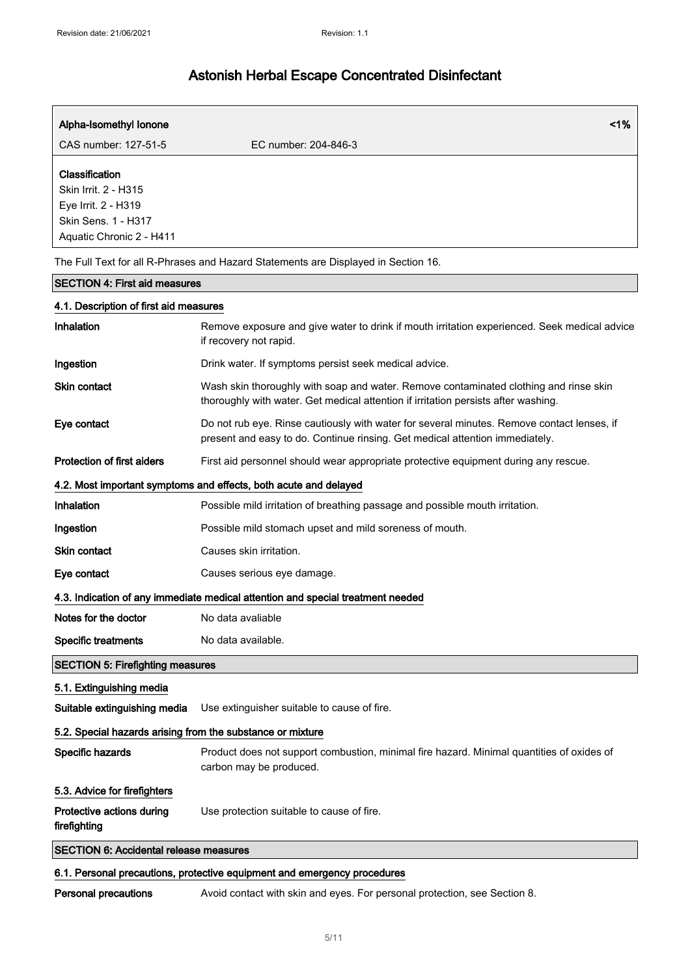| Alpha-Isomethyl Ionone                                                                                           | 1%                                                                                                                                                                          |  |
|------------------------------------------------------------------------------------------------------------------|-----------------------------------------------------------------------------------------------------------------------------------------------------------------------------|--|
| CAS number: 127-51-5                                                                                             | EC number: 204-846-3                                                                                                                                                        |  |
| Classification<br>Skin Irrit. 2 - H315<br>Eye Irrit. 2 - H319<br>Skin Sens. 1 - H317<br>Aquatic Chronic 2 - H411 |                                                                                                                                                                             |  |
|                                                                                                                  | The Full Text for all R-Phrases and Hazard Statements are Displayed in Section 16.                                                                                          |  |
| <b>SECTION 4: First aid measures</b>                                                                             |                                                                                                                                                                             |  |
| 4.1. Description of first aid measures                                                                           |                                                                                                                                                                             |  |
| Inhalation                                                                                                       | Remove exposure and give water to drink if mouth irritation experienced. Seek medical advice<br>if recovery not rapid.                                                      |  |
| Ingestion                                                                                                        | Drink water. If symptoms persist seek medical advice.                                                                                                                       |  |
| Skin contact                                                                                                     | Wash skin thoroughly with soap and water. Remove contaminated clothing and rinse skin<br>thoroughly with water. Get medical attention if irritation persists after washing. |  |
| Eye contact                                                                                                      | Do not rub eye. Rinse cautiously with water for several minutes. Remove contact lenses, if<br>present and easy to do. Continue rinsing. Get medical attention immediately.  |  |
| Protection of first aiders                                                                                       | First aid personnel should wear appropriate protective equipment during any rescue.                                                                                         |  |
|                                                                                                                  | 4.2. Most important symptoms and effects, both acute and delayed                                                                                                            |  |
| Inhalation                                                                                                       | Possible mild irritation of breathing passage and possible mouth irritation.                                                                                                |  |
| Ingestion                                                                                                        | Possible mild stomach upset and mild soreness of mouth.                                                                                                                     |  |
| Skin contact                                                                                                     | Causes skin irritation.                                                                                                                                                     |  |
| Eye contact                                                                                                      | Causes serious eye damage.                                                                                                                                                  |  |
|                                                                                                                  | 4.3. Indication of any immediate medical attention and special treatment needed                                                                                             |  |
| Notes for the doctor                                                                                             | No data avaliable                                                                                                                                                           |  |
| <b>Specific treatments</b>                                                                                       | No data available.                                                                                                                                                          |  |
| <b>SECTION 5: Firefighting measures</b>                                                                          |                                                                                                                                                                             |  |
| 5.1. Extinguishing media                                                                                         |                                                                                                                                                                             |  |
| Suitable extinguishing media                                                                                     | Use extinguisher suitable to cause of fire.                                                                                                                                 |  |
| 5.2. Special hazards arising from the substance or mixture                                                       |                                                                                                                                                                             |  |
| Specific hazards                                                                                                 | Product does not support combustion, minimal fire hazard. Minimal quantities of oxides of<br>carbon may be produced.                                                        |  |
| 5.3. Advice for firefighters                                                                                     |                                                                                                                                                                             |  |
| Protective actions during<br>firefighting                                                                        | Use protection suitable to cause of fire.                                                                                                                                   |  |
| <b>SECTION 6: Accidental release measures</b>                                                                    |                                                                                                                                                                             |  |
|                                                                                                                  | 6.1. Personal precautions, protective equipment and emergency procedures                                                                                                    |  |

Personal precautions Avoid contact with skin and eyes. For personal protection, see Section 8.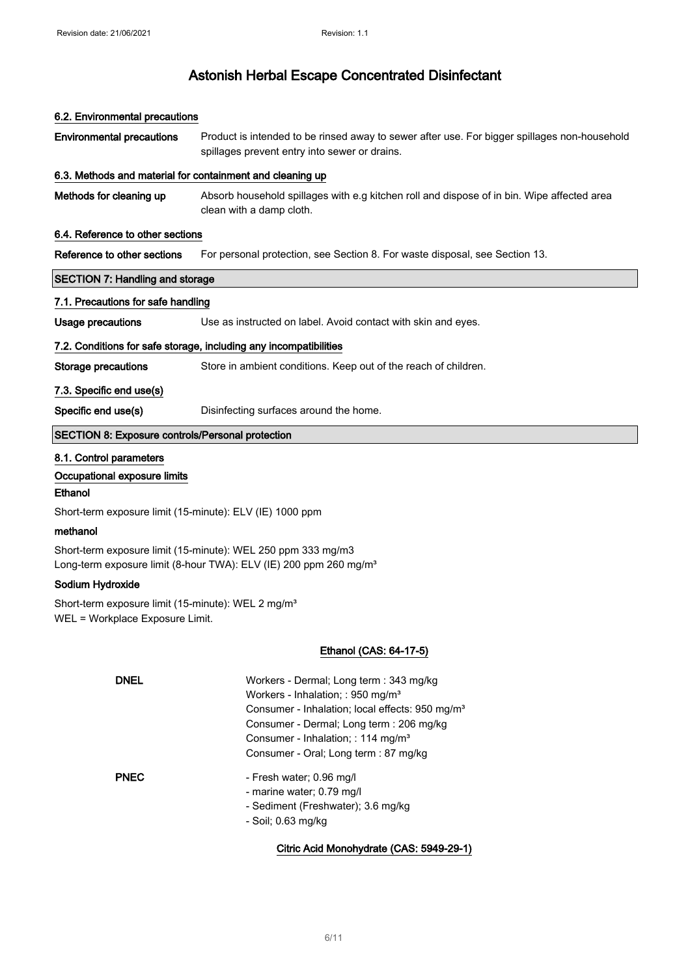| 6.2. Environmental precautions                                 |                                                                                                                                                                                                                                                                                                |  |
|----------------------------------------------------------------|------------------------------------------------------------------------------------------------------------------------------------------------------------------------------------------------------------------------------------------------------------------------------------------------|--|
| <b>Environmental precautions</b>                               | Product is intended to be rinsed away to sewer after use. For bigger spillages non-household<br>spillages prevent entry into sewer or drains.                                                                                                                                                  |  |
| 6.3. Methods and material for containment and cleaning up      |                                                                                                                                                                                                                                                                                                |  |
| Methods for cleaning up                                        | Absorb household spillages with e.g kitchen roll and dispose of in bin. Wipe affected area<br>clean with a damp cloth.                                                                                                                                                                         |  |
| 6.4. Reference to other sections                               |                                                                                                                                                                                                                                                                                                |  |
| Reference to other sections                                    | For personal protection, see Section 8. For waste disposal, see Section 13.                                                                                                                                                                                                                    |  |
| <b>SECTION 7: Handling and storage</b>                         |                                                                                                                                                                                                                                                                                                |  |
| 7.1. Precautions for safe handling                             |                                                                                                                                                                                                                                                                                                |  |
| <b>Usage precautions</b>                                       | Use as instructed on label. Avoid contact with skin and eyes.                                                                                                                                                                                                                                  |  |
|                                                                | 7.2. Conditions for safe storage, including any incompatibilities                                                                                                                                                                                                                              |  |
| Storage precautions                                            | Store in ambient conditions. Keep out of the reach of children.                                                                                                                                                                                                                                |  |
| 7.3. Specific end use(s)                                       |                                                                                                                                                                                                                                                                                                |  |
| Specific end use(s)                                            | Disinfecting surfaces around the home.                                                                                                                                                                                                                                                         |  |
| <b>SECTION 8: Exposure controls/Personal protection</b>        |                                                                                                                                                                                                                                                                                                |  |
| 8.1. Control parameters                                        |                                                                                                                                                                                                                                                                                                |  |
| Occupational exposure limits                                   |                                                                                                                                                                                                                                                                                                |  |
| <b>Ethanol</b>                                                 |                                                                                                                                                                                                                                                                                                |  |
| Short-term exposure limit (15-minute): ELV (IE) 1000 ppm       |                                                                                                                                                                                                                                                                                                |  |
| methanol                                                       |                                                                                                                                                                                                                                                                                                |  |
|                                                                | Short-term exposure limit (15-minute): WEL 250 ppm 333 mg/m3<br>Long-term exposure limit (8-hour TWA): ELV (IE) 200 ppm 260 mg/m <sup>3</sup>                                                                                                                                                  |  |
| Sodium Hydroxide                                               |                                                                                                                                                                                                                                                                                                |  |
| Short-term exposure limit (15-minute): WEL 2 mg/m <sup>3</sup> |                                                                                                                                                                                                                                                                                                |  |
| WEL = Workplace Exposure Limit.                                |                                                                                                                                                                                                                                                                                                |  |
|                                                                | Ethanol (CAS: 64-17-5)                                                                                                                                                                                                                                                                         |  |
| <b>DNEL</b>                                                    | Workers - Dermal; Long term : 343 mg/kg<br>Workers - Inhalation; : 950 mg/m <sup>3</sup><br>Consumer - Inhalation; local effects: 950 mg/m <sup>3</sup><br>Consumer - Dermal; Long term : 206 mg/kg<br>Consumer - Inhalation; : 114 mg/m <sup>3</sup><br>Consumer - Oral; Long term : 87 mg/kg |  |
| <b>PNEC</b>                                                    | - Fresh water; 0.96 mg/l<br>- marine water; 0.79 mg/l<br>- Sediment (Freshwater); 3.6 mg/kg<br>- Soil; 0.63 mg/kg                                                                                                                                                                              |  |
|                                                                | Citric Acid Monohydrate (CAS: 5949-29-1)                                                                                                                                                                                                                                                       |  |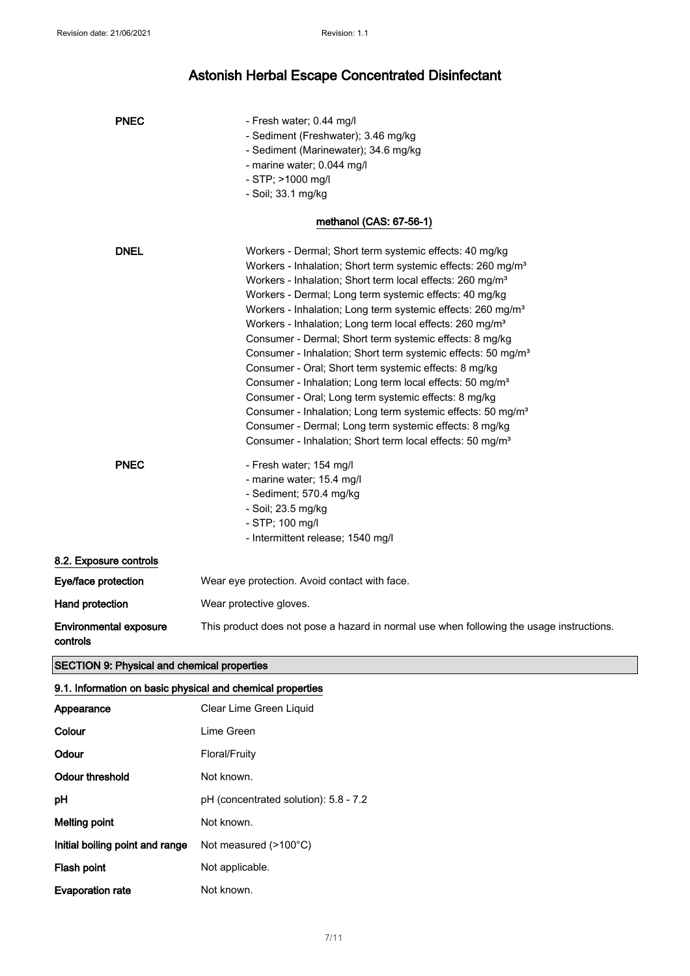| <b>PNEC</b>                               | - Fresh water; 0.44 mg/l                                                                 |
|-------------------------------------------|------------------------------------------------------------------------------------------|
|                                           | - Sediment (Freshwater); 3.46 mg/kg                                                      |
|                                           | - Sediment (Marinewater); 34.6 mg/kg                                                     |
|                                           | - marine water; 0.044 mg/l                                                               |
|                                           | - STP; >1000 mg/l                                                                        |
|                                           | - Soil; 33.1 mg/kg                                                                       |
|                                           | methanol (CAS: 67-56-1)                                                                  |
| <b>DNEL</b>                               | Workers - Dermal; Short term systemic effects: 40 mg/kg                                  |
|                                           | Workers - Inhalation; Short term systemic effects: 260 mg/m <sup>3</sup>                 |
|                                           | Workers - Inhalation; Short term local effects: 260 mg/m <sup>3</sup>                    |
|                                           | Workers - Dermal; Long term systemic effects: 40 mg/kg                                   |
|                                           | Workers - Inhalation; Long term systemic effects: 260 mg/m <sup>3</sup>                  |
|                                           | Workers - Inhalation; Long term local effects: 260 mg/m <sup>3</sup>                     |
|                                           | Consumer - Dermal; Short term systemic effects: 8 mg/kg                                  |
|                                           | Consumer - Inhalation; Short term systemic effects: 50 mg/m <sup>3</sup>                 |
|                                           | Consumer - Oral; Short term systemic effects: 8 mg/kg                                    |
|                                           | Consumer - Inhalation; Long term local effects: 50 mg/m <sup>3</sup>                     |
|                                           | Consumer - Oral; Long term systemic effects: 8 mg/kg                                     |
|                                           | Consumer - Inhalation; Long term systemic effects: 50 mg/m <sup>3</sup>                  |
|                                           | Consumer - Dermal; Long term systemic effects: 8 mg/kg                                   |
|                                           | Consumer - Inhalation; Short term local effects: 50 mg/m <sup>3</sup>                    |
| <b>PNEC</b>                               | - Fresh water; 154 mg/l                                                                  |
|                                           | - marine water; 15.4 mg/l                                                                |
|                                           | - Sediment; 570.4 mg/kg                                                                  |
|                                           | - Soil; 23.5 mg/kg                                                                       |
|                                           | - STP; 100 mg/l                                                                          |
|                                           | - Intermittent release; 1540 mg/l                                                        |
| 8.2. Exposure controls                    |                                                                                          |
| Eye/face protection                       | Wear eye protection. Avoid contact with face.                                            |
| Hand protection                           | Wear protective gloves.                                                                  |
| <b>Environmental exposure</b><br>controls | This product does not pose a hazard in normal use when following the usage instructions. |

### SECTION 9: Physical and chemical properties

| 9.1. Information on basic physical and chemical properties |                                       |  |
|------------------------------------------------------------|---------------------------------------|--|
| Appearance                                                 | Clear Lime Green Liquid               |  |
| Colour                                                     | Lime Green                            |  |
| Odour                                                      | Floral/Fruity                         |  |
| Odour threshold                                            | Not known.                            |  |
| рH                                                         | pH (concentrated solution): 5.8 - 7.2 |  |
| Melting point                                              | Not known.                            |  |
| Initial boiling point and range                            | Not measured $(>100^{\circ}C)$        |  |
| Flash point                                                | Not applicable.                       |  |
| <b>Evaporation rate</b>                                    | Not known.                            |  |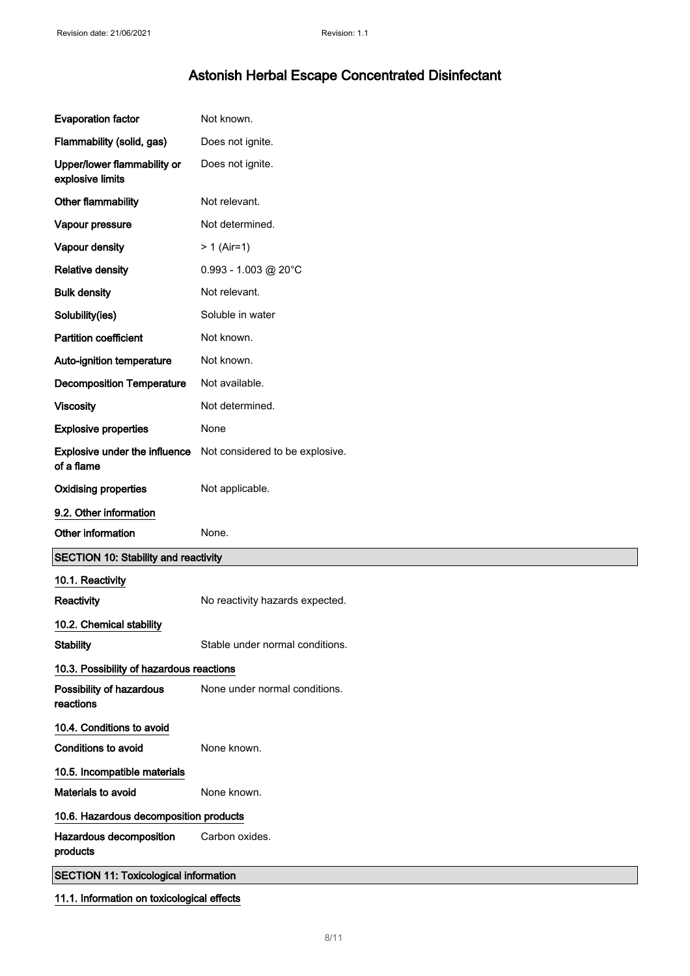| <b>Evaporation factor</b>                       | Not known.                      |
|-------------------------------------------------|---------------------------------|
| Flammability (solid, gas)                       | Does not ignite.                |
| Upper/lower flammability or<br>explosive limits | Does not ignite.                |
| Other flammability                              | Not relevant.                   |
| Vapour pressure                                 | Not determined.                 |
| Vapour density                                  | $> 1$ (Air=1)                   |
| <b>Relative density</b>                         | $0.993 - 1.003$ @ 20°C          |
| <b>Bulk density</b>                             | Not relevant.                   |
| Solubility(ies)                                 | Soluble in water                |
| <b>Partition coefficient</b>                    | Not known.                      |
| Auto-ignition temperature                       | Not known.                      |
| <b>Decomposition Temperature</b>                | Not available.                  |
| <b>Viscosity</b>                                | Not determined.                 |
| <b>Explosive properties</b>                     | None                            |
| Explosive under the influence<br>of a flame     | Not considered to be explosive. |
| <b>Oxidising properties</b>                     | Not applicable.                 |
| 9.2. Other information                          |                                 |
|                                                 |                                 |
| Other information                               | None.                           |
| <b>SECTION 10: Stability and reactivity</b>     |                                 |
| 10.1. Reactivity                                |                                 |
| Reactivity                                      | No reactivity hazards expected. |
| 10.2. Chemical stability                        |                                 |
| <b>Stability</b>                                | Stable under normal conditions. |
| 10.3. Possibility of hazardous reactions        |                                 |
| Possibility of hazardous<br>reactions           | None under normal conditions.   |
| 10.4. Conditions to avoid                       |                                 |
| Conditions to avoid                             | None known.                     |
| 10.5. Incompatible materials                    |                                 |
| Materials to avoid                              | None known.                     |
| 10.6. Hazardous decomposition products          |                                 |
| Hazardous decomposition<br>products             | Carbon oxides.                  |
| <b>SECTION 11: Toxicological information</b>    |                                 |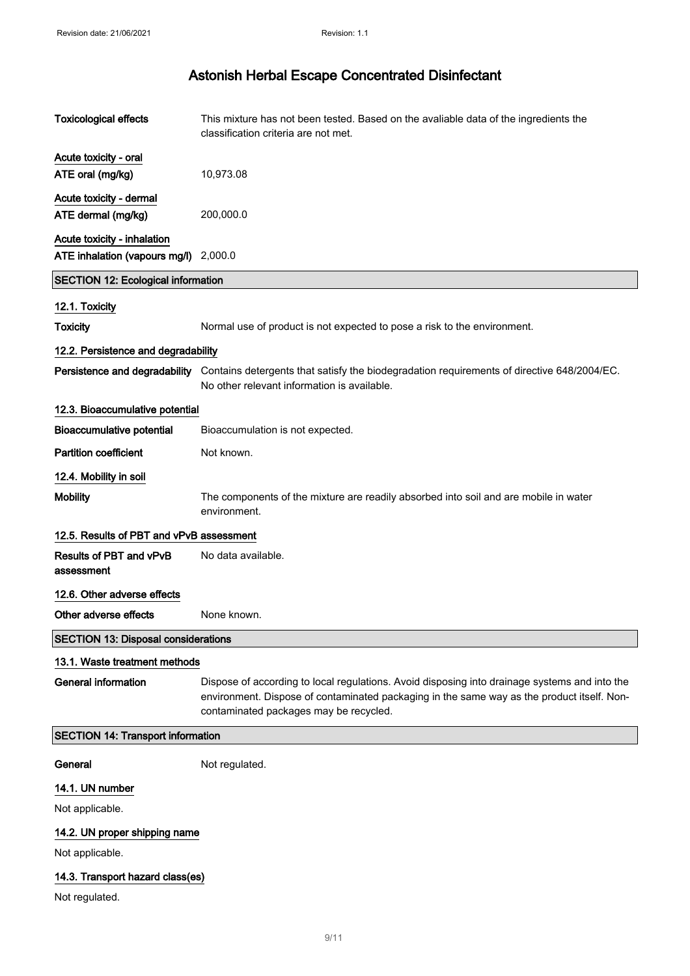| <b>Toxicological effects</b>               | This mixture has not been tested. Based on the avaliable data of the ingredients the<br>classification criteria are not met.                                                                                                          |
|--------------------------------------------|---------------------------------------------------------------------------------------------------------------------------------------------------------------------------------------------------------------------------------------|
| Acute toxicity - oral<br>ATE oral (mg/kg)  | 10,973.08                                                                                                                                                                                                                             |
| Acute toxicity - dermal                    |                                                                                                                                                                                                                                       |
| ATE dermal (mg/kg)                         | 200,000.0                                                                                                                                                                                                                             |
| Acute toxicity - inhalation                |                                                                                                                                                                                                                                       |
| ATE inhalation (vapours mg/l)              | 2,000.0                                                                                                                                                                                                                               |
| <b>SECTION 12: Ecological information</b>  |                                                                                                                                                                                                                                       |
| 12.1. Toxicity                             |                                                                                                                                                                                                                                       |
| <b>Toxicity</b>                            | Normal use of product is not expected to pose a risk to the environment.                                                                                                                                                              |
| 12.2. Persistence and degradability        |                                                                                                                                                                                                                                       |
| Persistence and degradability              | Contains detergents that satisfy the biodegradation requirements of directive 648/2004/EC.<br>No other relevant information is available.                                                                                             |
| 12.3. Bioaccumulative potential            |                                                                                                                                                                                                                                       |
| <b>Bioaccumulative potential</b>           | Bioaccumulation is not expected.                                                                                                                                                                                                      |
| <b>Partition coefficient</b>               | Not known.                                                                                                                                                                                                                            |
| 12.4. Mobility in soil                     |                                                                                                                                                                                                                                       |
| <b>Mobility</b>                            | The components of the mixture are readily absorbed into soil and are mobile in water<br>environment.                                                                                                                                  |
| 12.5. Results of PBT and vPvB assessment   |                                                                                                                                                                                                                                       |
| Results of PBT and vPvB<br>assessment      | No data available.                                                                                                                                                                                                                    |
| 12.6. Other adverse effects                |                                                                                                                                                                                                                                       |
| Other adverse effects                      | None known.                                                                                                                                                                                                                           |
| <b>SECTION 13: Disposal considerations</b> |                                                                                                                                                                                                                                       |
| 13.1. Waste treatment methods              |                                                                                                                                                                                                                                       |
| <b>General information</b>                 | Dispose of according to local regulations. Avoid disposing into drainage systems and into the<br>environment. Dispose of contaminated packaging in the same way as the product itself. Non-<br>contaminated packages may be recycled. |
| SECTION 14: Transport information          |                                                                                                                                                                                                                                       |
| General                                    | Not regulated.                                                                                                                                                                                                                        |
| 14.1. UN number                            |                                                                                                                                                                                                                                       |
| Not applicable.                            |                                                                                                                                                                                                                                       |
| 14.2. UN proper shipping name              |                                                                                                                                                                                                                                       |
| Not applicable.                            |                                                                                                                                                                                                                                       |
| 14.3. Transport hazard class(es)           |                                                                                                                                                                                                                                       |
| Not regulated.                             |                                                                                                                                                                                                                                       |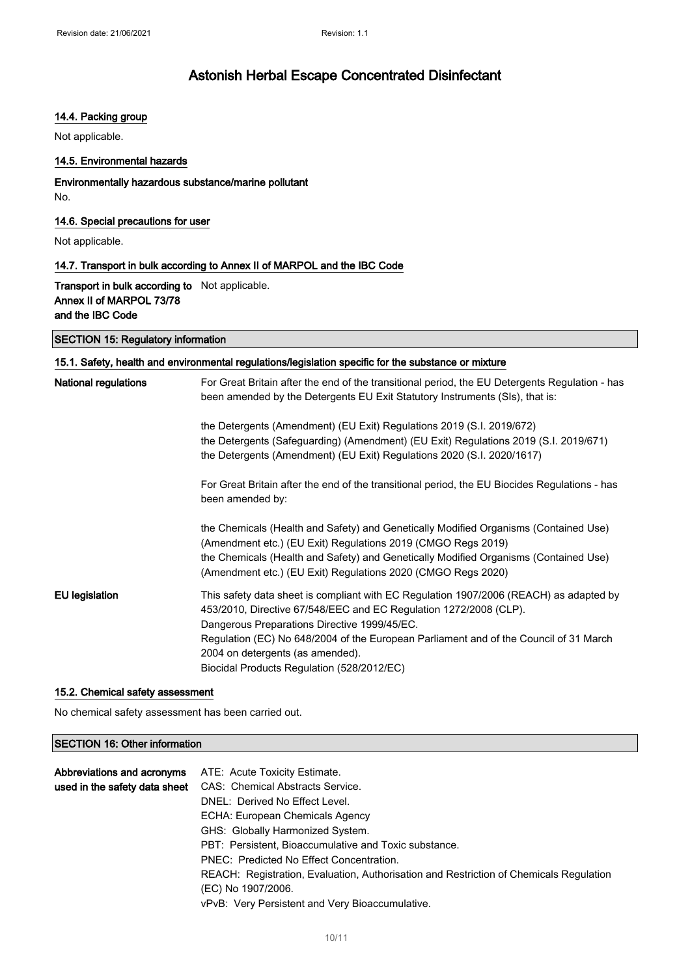### 14.4. Packing group

Not applicable.

### 14.5. Environmental hazards

### Environmentally hazardous substance/marine pollutant No.

### 14.6. Special precautions for user

Not applicable.

#### 14.7. Transport in bulk according to Annex II of MARPOL and the IBC Code

Transport in bulk according to Not applicable. Annex II of MARPOL 73/78 and the IBC Code

#### SECTION 15: Regulatory information

### 15.1. Safety, health and environmental regulations/legislation specific for the substance or mixture

| <b>National regulations</b> | For Great Britain after the end of the transitional period, the EU Detergents Regulation - has<br>been amended by the Detergents EU Exit Statutory Instruments (SIs), that is:                                                                                                                                                                                                         |
|-----------------------------|----------------------------------------------------------------------------------------------------------------------------------------------------------------------------------------------------------------------------------------------------------------------------------------------------------------------------------------------------------------------------------------|
|                             | the Detergents (Amendment) (EU Exit) Regulations 2019 (S.I. 2019/672)<br>the Detergents (Safeguarding) (Amendment) (EU Exit) Regulations 2019 (S.I. 2019/671)<br>the Detergents (Amendment) (EU Exit) Regulations 2020 (S.I. 2020/1617)                                                                                                                                                |
|                             | For Great Britain after the end of the transitional period, the EU Biocides Regulations - has<br>been amended by:                                                                                                                                                                                                                                                                      |
|                             | the Chemicals (Health and Safety) and Genetically Modified Organisms (Contained Use)<br>(Amendment etc.) (EU Exit) Regulations 2019 (CMGO Regs 2019)<br>the Chemicals (Health and Safety) and Genetically Modified Organisms (Contained Use)<br>(Amendment etc.) (EU Exit) Regulations 2020 (CMGO Regs 2020)                                                                           |
| EU legislation              | This safety data sheet is compliant with EC Regulation 1907/2006 (REACH) as adapted by<br>453/2010, Directive 67/548/EEC and EC Regulation 1272/2008 (CLP).<br>Dangerous Preparations Directive 1999/45/EC.<br>Regulation (EC) No 648/2004 of the European Parliament and of the Council of 31 March<br>2004 on detergents (as amended).<br>Biocidal Products Regulation (528/2012/EC) |

### 15.2. Chemical safety assessment

No chemical safety assessment has been carried out.

### SECTION 16: Other information

| Abbreviations and acronyms    | ATE: Acute Toxicity Estimate.                                                          |
|-------------------------------|----------------------------------------------------------------------------------------|
| used in the safety data sheet | CAS: Chemical Abstracts Service.                                                       |
|                               | DNEL: Derived No Effect Level.                                                         |
|                               | ECHA: European Chemicals Agency                                                        |
|                               | GHS: Globally Harmonized System.                                                       |
|                               | PBT: Persistent, Bioaccumulative and Toxic substance.                                  |
|                               | PNEC: Predicted No Effect Concentration.                                               |
|                               | REACH: Registration, Evaluation, Authorisation and Restriction of Chemicals Regulation |
|                               | (EC) No 1907/2006.                                                                     |
|                               | vPvB: Very Persistent and Very Bioaccumulative.                                        |